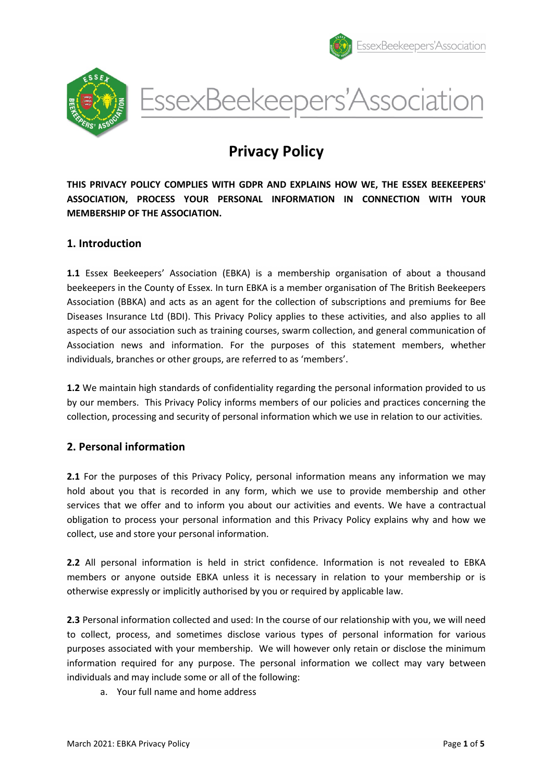





# Privacy Policy

THIS PRIVACY POLICY COMPLIES WITH GDPR AND EXPLAINS HOW WE, THE ESSEX BEEKEEPERS' ASSOCIATION, PROCESS YOUR PERSONAL INFORMATION IN CONNECTION WITH YOUR MEMBERSHIP OF THE ASSOCIATION.

# 1. Introduction

1.1 Essex Beekeepers' Association (EBKA) is a membership organisation of about a thousand beekeepers in the County of Essex. In turn EBKA is a member organisation of The British Beekeepers Association (BBKA) and acts as an agent for the collection of subscriptions and premiums for Bee Diseases Insurance Ltd (BDI). This Privacy Policy applies to these activities, and also applies to all aspects of our association such as training courses, swarm collection, and general communication of Association news and information. For the purposes of this statement members, whether individuals, branches or other groups, are referred to as 'members'.

1.2 We maintain high standards of confidentiality regarding the personal information provided to us by our members. This Privacy Policy informs members of our policies and practices concerning the collection, processing and security of personal information which we use in relation to our activities.

# 2. Personal information

2.1 For the purposes of this Privacy Policy, personal information means any information we may hold about you that is recorded in any form, which we use to provide membership and other services that we offer and to inform you about our activities and events. We have a contractual obligation to process your personal information and this Privacy Policy explains why and how we collect, use and store your personal information.

2.2 All personal information is held in strict confidence. Information is not revealed to EBKA members or anyone outside EBKA unless it is necessary in relation to your membership or is otherwise expressly or implicitly authorised by you or required by applicable law.

2.3 Personal information collected and used: In the course of our relationship with you, we will need to collect, process, and sometimes disclose various types of personal information for various purposes associated with your membership. We will however only retain or disclose the minimum information required for any purpose. The personal information we collect may vary between individuals and may include some or all of the following:

a. Your full name and home address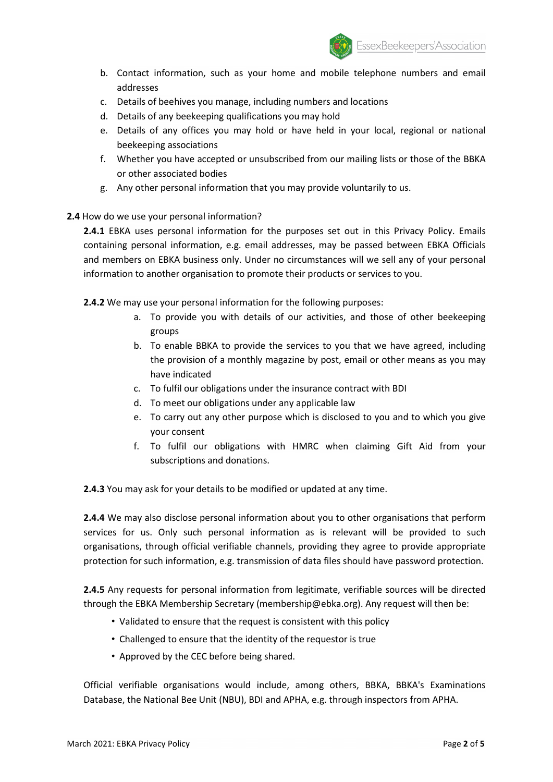

- b. Contact information, such as your home and mobile telephone numbers and email addresses
- c. Details of beehives you manage, including numbers and locations
- d. Details of any beekeeping qualifications you may hold
- e. Details of any offices you may hold or have held in your local, regional or national beekeeping associations
- f. Whether you have accepted or unsubscribed from our mailing lists or those of the BBKA or other associated bodies
- g. Any other personal information that you may provide voluntarily to us.

#### 2.4 How do we use your personal information?

2.4.1 EBKA uses personal information for the purposes set out in this Privacy Policy. Emails containing personal information, e.g. email addresses, may be passed between EBKA Officials and members on EBKA business only. Under no circumstances will we sell any of your personal information to another organisation to promote their products or services to you.

2.4.2 We may use your personal information for the following purposes:

- a. To provide you with details of our activities, and those of other beekeeping groups
- b. To enable BBKA to provide the services to you that we have agreed, including the provision of a monthly magazine by post, email or other means as you may have indicated
- c. To fulfil our obligations under the insurance contract with BDI
- d. To meet our obligations under any applicable law
- e. To carry out any other purpose which is disclosed to you and to which you give your consent
- f. To fulfil our obligations with HMRC when claiming Gift Aid from your subscriptions and donations.

2.4.3 You may ask for your details to be modified or updated at any time.

2.4.4 We may also disclose personal information about you to other organisations that perform services for us. Only such personal information as is relevant will be provided to such organisations, through official verifiable channels, providing they agree to provide appropriate protection for such information, e.g. transmission of data files should have password protection.

2.4.5 Any requests for personal information from legitimate, verifiable sources will be directed through the EBKA Membership Secretary (membership@ebka.org). Any request will then be:

- Validated to ensure that the request is consistent with this policy
- Challenged to ensure that the identity of the requestor is true
- Approved by the CEC before being shared.

Official verifiable organisations would include, among others, BBKA, BBKA's Examinations Database, the National Bee Unit (NBU), BDI and APHA, e.g. through inspectors from APHA.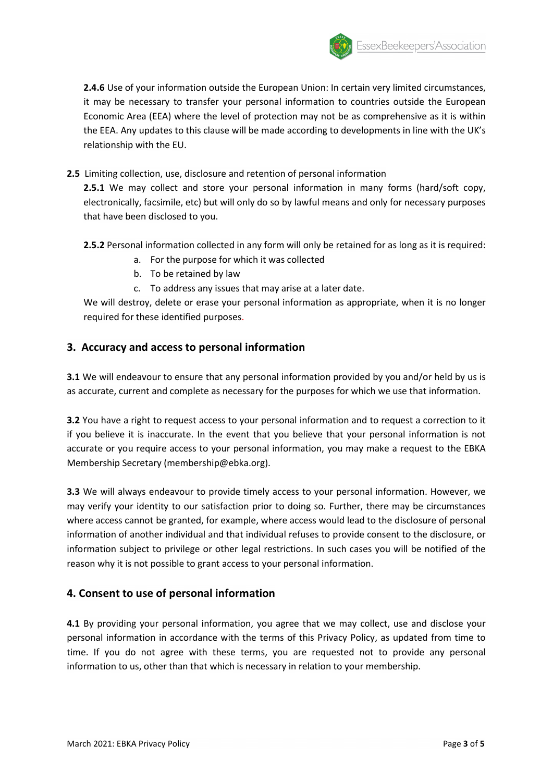

2.4.6 Use of your information outside the European Union: In certain very limited circumstances, it may be necessary to transfer your personal information to countries outside the European Economic Area (EEA) where the level of protection may not be as comprehensive as it is within the EEA. Any updates to this clause will be made according to developments in line with the UK's relationship with the EU.

2.5 Limiting collection, use, disclosure and retention of personal information

2.5.1 We may collect and store your personal information in many forms (hard/soft copy, electronically, facsimile, etc) but will only do so by lawful means and only for necessary purposes that have been disclosed to you.

2.5.2 Personal information collected in any form will only be retained for as long as it is required:

- a. For the purpose for which it was collected
- b. To be retained by law
- c. To address any issues that may arise at a later date.

We will destroy, delete or erase your personal information as appropriate, when it is no longer required for these identified purposes.

# 3. Accuracy and access to personal information

**3.1** We will endeavour to ensure that any personal information provided by you and/or held by us is as accurate, current and complete as necessary for the purposes for which we use that information.

3.2 You have a right to request access to your personal information and to request a correction to it if you believe it is inaccurate. In the event that you believe that your personal information is not accurate or you require access to your personal information, you may make a request to the EBKA Membership Secretary (membership@ebka.org).

3.3 We will always endeavour to provide timely access to your personal information. However, we may verify your identity to our satisfaction prior to doing so. Further, there may be circumstances where access cannot be granted, for example, where access would lead to the disclosure of personal information of another individual and that individual refuses to provide consent to the disclosure, or information subject to privilege or other legal restrictions. In such cases you will be notified of the reason why it is not possible to grant access to your personal information.

# 4. Consent to use of personal information

4.1 By providing your personal information, you agree that we may collect, use and disclose your personal information in accordance with the terms of this Privacy Policy, as updated from time to time. If you do not agree with these terms, you are requested not to provide any personal information to us, other than that which is necessary in relation to your membership.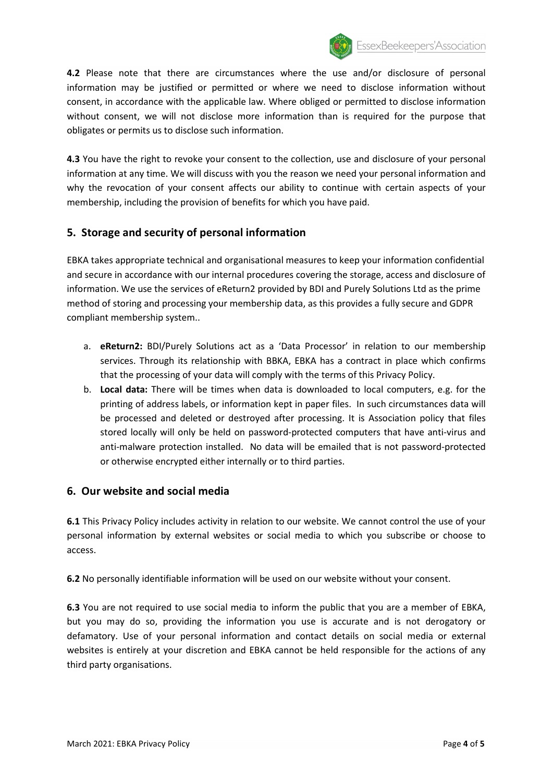

4.2 Please note that there are circumstances where the use and/or disclosure of personal information may be justified or permitted or where we need to disclose information without consent, in accordance with the applicable law. Where obliged or permitted to disclose information without consent, we will not disclose more information than is required for the purpose that obligates or permits us to disclose such information.

4.3 You have the right to revoke your consent to the collection, use and disclosure of your personal information at any time. We will discuss with you the reason we need your personal information and why the revocation of your consent affects our ability to continue with certain aspects of your membership, including the provision of benefits for which you have paid.

# 5. Storage and security of personal information

EBKA takes appropriate technical and organisational measures to keep your information confidential and secure in accordance with our internal procedures covering the storage, access and disclosure of information. We use the services of eReturn2 provided by BDI and Purely Solutions Ltd as the prime method of storing and processing your membership data, as this provides a fully secure and GDPR compliant membership system..

- a. eReturn2: BDI/Purely Solutions act as a 'Data Processor' in relation to our membership services. Through its relationship with BBKA, EBKA has a contract in place which confirms that the processing of your data will comply with the terms of this Privacy Policy.
- b. Local data: There will be times when data is downloaded to local computers, e.g. for the printing of address labels, or information kept in paper files. In such circumstances data will be processed and deleted or destroyed after processing. It is Association policy that files stored locally will only be held on password-protected computers that have anti-virus and anti-malware protection installed. No data will be emailed that is not password-protected or otherwise encrypted either internally or to third parties.

#### 6. Our website and social media

6.1 This Privacy Policy includes activity in relation to our website. We cannot control the use of your personal information by external websites or social media to which you subscribe or choose to access.

6.2 No personally identifiable information will be used on our website without your consent.

6.3 You are not required to use social media to inform the public that you are a member of EBKA, but you may do so, providing the information you use is accurate and is not derogatory or defamatory. Use of your personal information and contact details on social media or external websites is entirely at your discretion and EBKA cannot be held responsible for the actions of any third party organisations.